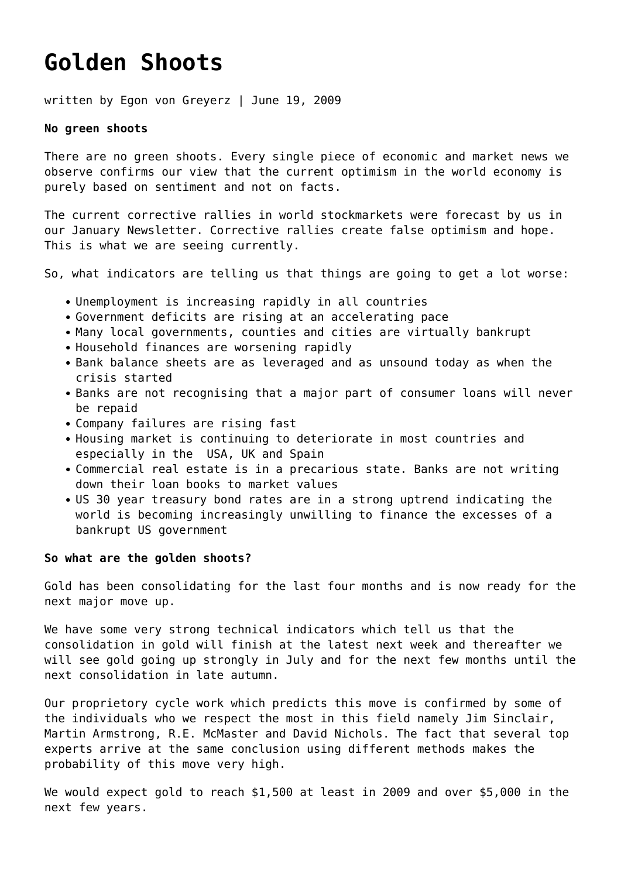## **[Golden Shoots](https://goldswitzerland.com/golden-shoots/)**

written by Egon von Greyerz | June 19, 2009

## **No green shoots**

There are no green shoots. Every single piece of economic and market news we observe confirms our view that the current optimism in the world economy is purely based on sentiment and not on facts.

The current corrective rallies in world stockmarkets were forecast by us in our January Newsletter. Corrective rallies create false optimism and hope. This is what we are seeing currently.

So, what indicators are telling us that things are going to get a lot worse:

- Unemployment is increasing rapidly in all countries
- Government deficits are rising at an accelerating pace
- Many local governments, counties and cities are virtually bankrupt
- Household finances are worsening rapidly
- Bank balance sheets are as leveraged and as unsound today as when the crisis started
- Banks are not recognising that a major part of consumer loans will never be repaid
- Company failures are rising fast
- Housing market is continuing to deteriorate in most countries and especially in the USA, UK and Spain
- Commercial real estate is in a precarious state. Banks are not writing down their loan books to market values
- US 30 year treasury bond rates are in a strong uptrend indicating the world is becoming increasingly unwilling to finance the excesses of a bankrupt US government

## **So what are the golden shoots?**

Gold has been consolidating for the last four months and is now ready for the next major move up.

We have some very strong technical indicators which tell us that the consolidation in gold will finish at the latest next week and thereafter we will see gold going up strongly in July and for the next few months until the next consolidation in late autumn.

Our proprietory cycle work which predicts this move is confirmed by some of the individuals who we respect the most in this field namely Jim Sinclair, Martin Armstrong, R.E. McMaster and David Nichols. The fact that several top experts arrive at the same conclusion using different methods makes the probability of this move very high.

We would expect gold to reach \$1,500 at least in 2009 and over \$5,000 in the next few years.